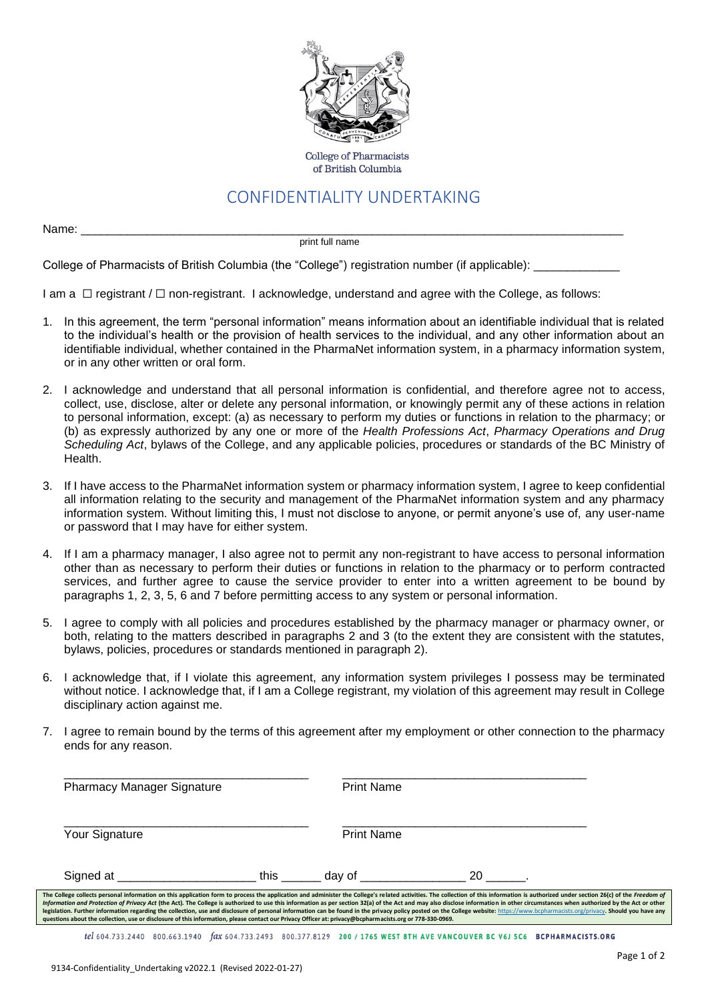

**College of Pharmacists** of British Columbia

## CONFIDENTIALITY UNDERTAKING

Name: \_\_\_\_\_\_\_\_\_\_\_\_\_\_\_\_\_\_\_\_\_\_\_\_\_\_\_\_\_\_\_\_\_\_\_\_\_\_\_\_\_\_\_\_\_\_\_\_\_\_\_\_\_\_\_\_\_\_\_\_\_\_\_\_\_\_\_\_\_\_\_\_\_\_\_\_\_\_\_\_\_\_

print full name

College of Pharmacists of British Columbia (the "College") registration number (if applicable): \_

I am a ☐ registrant / ☐ non-registrant. I acknowledge, understand and agree with the College, as follows:

- 1. In this agreement, the term "personal information" means information about an identifiable individual that is related to the individual's health or the provision of health services to the individual, and any other information about an identifiable individual, whether contained in the PharmaNet information system, in a pharmacy information system, or in any other written or oral form.
- 2. I acknowledge and understand that all personal information is confidential, and therefore agree not to access, collect, use, disclose, alter or delete any personal information, or knowingly permit any of these actions in relation to personal information, except: (a) as necessary to perform my duties or functions in relation to the pharmacy; or (b) as expressly authorized by any one or more of the *Health Professions Act*, *Pharmacy Operations and Drug Scheduling Act*, bylaws of the College, and any applicable policies, procedures or standards of the BC Ministry of Health.
- 3. If I have access to the PharmaNet information system or pharmacy information system, I agree to keep confidential all information relating to the security and management of the PharmaNet information system and any pharmacy information system. Without limiting this, I must not disclose to anyone, or permit anyone's use of, any user-name or password that I may have for either system.
- 4. If I am a pharmacy manager, I also agree not to permit any non-registrant to have access to personal information other than as necessary to perform their duties or functions in relation to the pharmacy or to perform contracted services, and further agree to cause the service provider to enter into a written agreement to be bound by paragraphs 1, 2, 3, 5, 6 and 7 before permitting access to any system or personal information.
- 5. I agree to comply with all policies and procedures established by the pharmacy manager or pharmacy owner, or both, relating to the matters described in paragraphs 2 and 3 (to the extent they are consistent with the statutes, bylaws, policies, procedures or standards mentioned in paragraph 2).
- 6. I acknowledge that, if I violate this agreement, any information system privileges I possess may be terminated without notice. I acknowledge that, if I am a College registrant, my violation of this agreement may result in College disciplinary action against me.
- 7. I agree to remain bound by the terms of this agreement after my employment or other connection to the pharmacy ends for any reason.

| <b>Pharmacy Manager Signature</b>                                                                                                                                                                                                                                                                                                                                                                                                                                                                                                                                                                                                                                                                                                                                                                                                                             |      | <b>Print Name</b>                                                                                              |    |  |
|---------------------------------------------------------------------------------------------------------------------------------------------------------------------------------------------------------------------------------------------------------------------------------------------------------------------------------------------------------------------------------------------------------------------------------------------------------------------------------------------------------------------------------------------------------------------------------------------------------------------------------------------------------------------------------------------------------------------------------------------------------------------------------------------------------------------------------------------------------------|------|----------------------------------------------------------------------------------------------------------------|----|--|
| Your Signature                                                                                                                                                                                                                                                                                                                                                                                                                                                                                                                                                                                                                                                                                                                                                                                                                                                |      | <b>Print Name</b>                                                                                              |    |  |
| Signed at the state of the state of the state of the state of the state of the state of the state of the state of the state of the state of the state of the state of the state of the state of the state of the state of the                                                                                                                                                                                                                                                                                                                                                                                                                                                                                                                                                                                                                                 | this | dav of the control of the control of the control of the control of the control of the control of the control o | 20 |  |
| The College collects personal information on this application form to process the application and administer the College's related activities. The collection of this information is authorized under section 26(c) of the Fre<br>Information and Protection of Privacy Act (the Act). The College is authorized to use this information as per section 32(a) of the Act and may also disclose information in other circumstances when authorized by the Act or<br>legislation. Further information regarding the collection, use and disclosure of personal information can be found in the privacy policy posted on the College website: https://www.bcpharmacists.org/privacy. Should you have<br>guestions about the collection, use or disclosure of this information, please contact our Privacy Officer at: privacy@bcpharmacists.org or 778-330-0969. |      |                                                                                                                |    |  |

tel 604.733.2440 800.663.1940 fax 604.733.2493 800.377.8129 200 / 1765 WEST 8TH AVE VANCOUVER BC V6J 5C6 BCPHARMACISTS.ORG